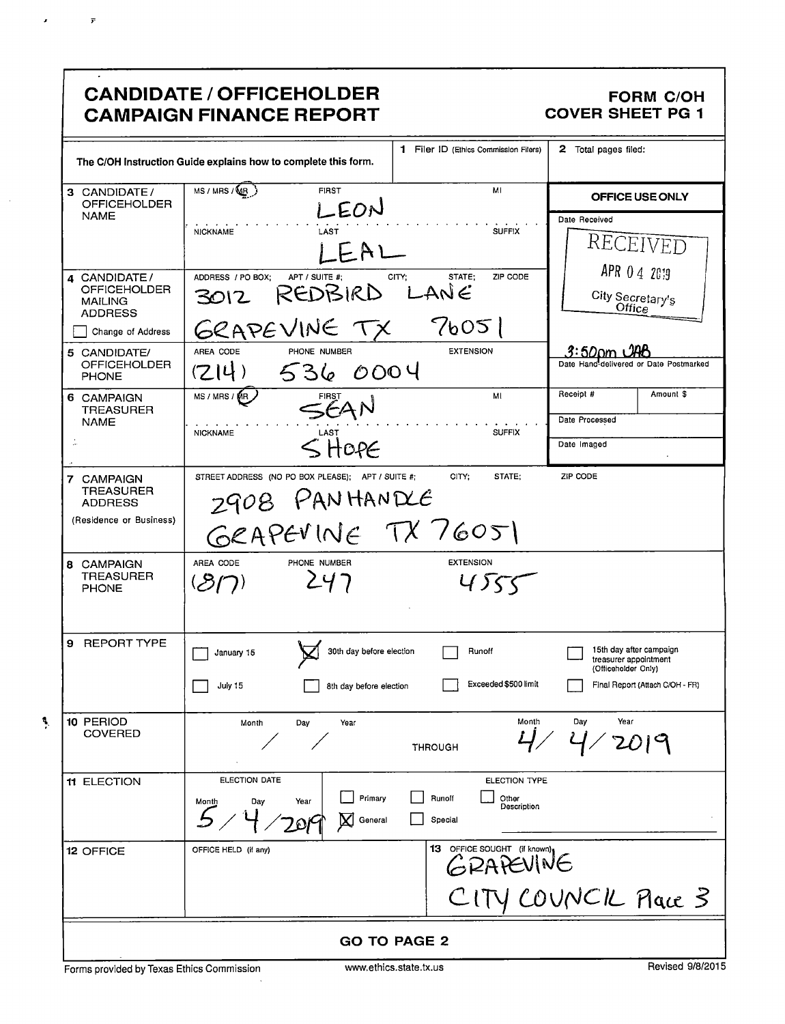# CANDIDATE / OFFICEHOLDER FORM C/OH<br>CAMPAIGN FINANCE REPORT COVER SHEET PG 1 **CAMPAIGN FINANCE REPORT**

 $\lambda$ 

 $\bar{r}$ 

 $\overline{\cdot}$ 

|                                                                          | 1.<br>Filer ID (Ethics Commission Filers)                                                                                 | 2 Total pages filed:                                                    |
|--------------------------------------------------------------------------|---------------------------------------------------------------------------------------------------------------------------|-------------------------------------------------------------------------|
|                                                                          | The C/OH Instruction Guide explains how to complete this form.                                                            |                                                                         |
| 3 CANDIDATE/<br>OFFICEHOLDER<br><b>NAME</b>                              | MS / MRS / MB<br><b>FIRST</b><br>MI<br>LEON                                                                               | OFFICE USE ONLY<br>Date Received                                        |
|                                                                          | <b>SUFFIX</b><br><b>NICKNAME</b><br>LAST                                                                                  | RECEIVED                                                                |
| 4 CANDIDATE /<br><b>OFFICEHOLDER</b><br><b>MAILING</b><br><b>ADDRESS</b> | ADDRESS / PO BOX;<br>ZIP CODE<br>APT / SUITE #:<br>CITY:<br>STATE:<br>REDBIRD LANE<br>3012                                | APR 0 4 2019<br>City Secretary's<br>Office                              |
| Change of Address                                                        | 76051<br>GRAPEVINE TX                                                                                                     |                                                                         |
| 5 CANDIDATE/<br><b>OFFICEHOLDER</b><br><b>PHONE</b>                      | AREA CODE<br><b>EXTENSION</b><br>PHONE NUMBER<br>0004<br>(7 4)<br>536                                                     | .3:50 cm<br>Date Hand-delivered or Date Postmarked                      |
| 6 CAMPAIGN<br>TREASURER                                                  | MS / MRS / MR<br>MI<br>FIRST<br>SEAN                                                                                      | Receipt #<br>Amount \$                                                  |
| <b>NAME</b>                                                              | <b>SUFFIX</b><br><b>NICKNAME</b>                                                                                          | Date Processed                                                          |
| J.                                                                       | $<$ HOPE                                                                                                                  | Date Imaged                                                             |
| 7 CAMPAIGN                                                               | CITY:<br>STATE;<br>STREET ADDRESS (NO PO BOX PLEASE); APT / SUITE #;                                                      | ZIP CODE                                                                |
| <b>TREASURER</b><br><b>ADDRESS</b>                                       | 2908 PANHANDLE                                                                                                            |                                                                         |
| (Residence or Business)                                                  | GRAPEVINE TX 76051                                                                                                        |                                                                         |
| 8 CAMPAIGN<br>TREASURER<br><b>PHONE</b>                                  | <b>EXTENSION</b><br>AREA CODE<br>PHONE NUMBER<br>247<br>(31)<br>4)55                                                      |                                                                         |
| 9 REPORT TYPE                                                            | 30th day before election<br>Runoff<br>January 15                                                                          | 15th day after campaign<br>treasurer appointment<br>(Officeholder Only) |
|                                                                          | Exceeded \$500 limit<br>July 15<br>8th day before election                                                                | Final Report (Attach C/OH - FR)                                         |
| 10 PERIOD<br>COVERED                                                     | Month<br>Month<br>Day<br>Year<br><b>THROUGH</b>                                                                           | Day<br>Year                                                             |
| 11 ELECTION                                                              | ELECTION DATE<br>ELECTION TYPE<br>Primary<br>Runolf<br>Other<br>Year<br>Day<br>Month<br>Description<br>General<br>Special |                                                                         |
| 12 OFFICE                                                                | 13 OFFICE SOUGHT (if known)<br>OFFICE HELD (if any)<br>GRAPEVINE                                                          |                                                                         |
|                                                                          |                                                                                                                           | CITY COUNCIL Place 3                                                    |
|                                                                          | <b>GO TO PAGE 2</b>                                                                                                       |                                                                         |
|                                                                          |                                                                                                                           |                                                                         |

Forms provided by Texas Ethics Commission www.ethics.state.tx.us Revised 9/8/2015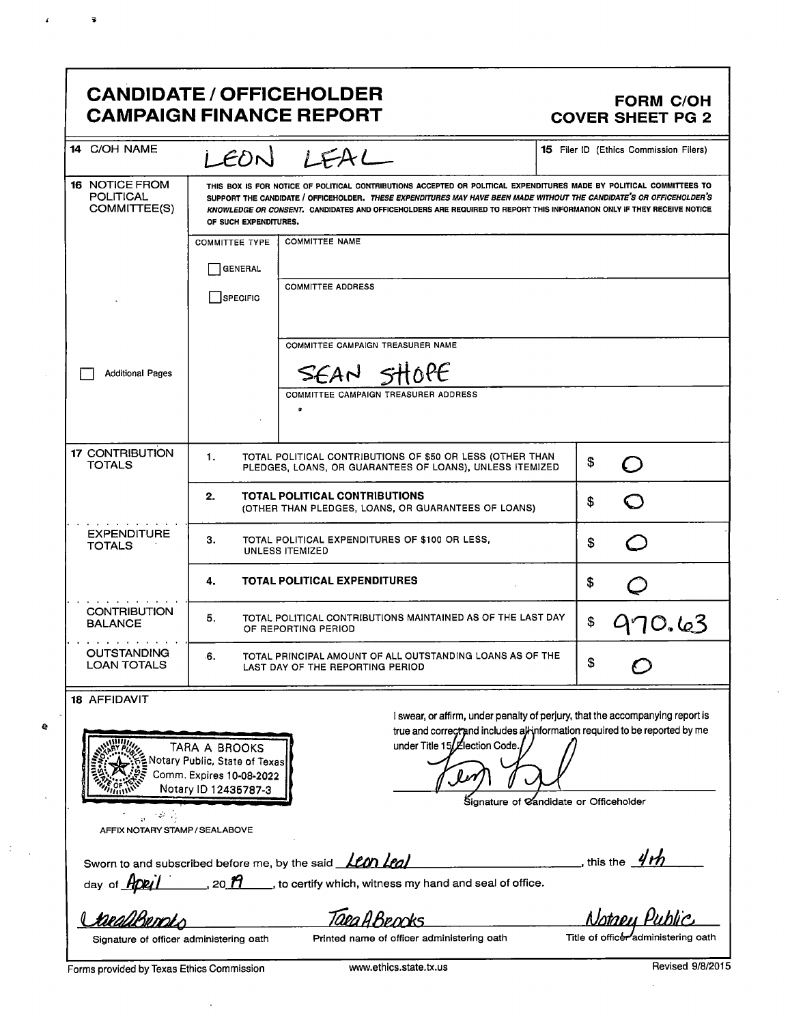## CANDIDATE / OFFICEHOLDER<br>CAMPAIGN FINANCE REPORT COVER SHEET PG 2 **CAMPAIGN FINANCE REPORT**

e

 $\ddot{\cdot}$ 

 $\pmb{\mathcal{L}}$ 

 $\overline{\bullet}$ 

| 14 C/OH NAME                                              |                                                                                                                                                                                                                                                                                                                                                                                                  | LEON LEAL                                                                                                                                                   | <b>15</b> Filer ID (Ethics Commission Filers) |  |  |
|-----------------------------------------------------------|--------------------------------------------------------------------------------------------------------------------------------------------------------------------------------------------------------------------------------------------------------------------------------------------------------------------------------------------------------------------------------------------------|-------------------------------------------------------------------------------------------------------------------------------------------------------------|-----------------------------------------------|--|--|
| <b>16 NOTICE FROM</b><br><b>POLITICAL</b><br>COMMITTEE(S) | THIS BOX IS FOR NOTICE OF POLITICAL CONTRIBUTIONS ACCEPTED OR POLITICAL EXPENDITURES MADE BY POLITICAL COMMITTEES TO<br>SUPPORT THE CANDIDATE / OFFICEHOLDER. THESE EXPENDITURES MAY HAVE BEEN MADE WITHOUT THE CANDIDATE'S OR OFFICEHOLDER'S<br>KNOWLEDGE OR CONSENT. CANDIDATES AND OFFICEHOLDERS ARE REQUIRED TO REPORT THIS INFORMATION ONLY IF THEY RECEIVE NOTICE<br>OF SUCH EXPENDITURES. |                                                                                                                                                             |                                               |  |  |
|                                                           | <b>COMMITTEE TYPE</b>                                                                                                                                                                                                                                                                                                                                                                            | <b>COMMITTEE NAME</b>                                                                                                                                       |                                               |  |  |
|                                                           | <b>GENERAL</b>                                                                                                                                                                                                                                                                                                                                                                                   |                                                                                                                                                             |                                               |  |  |
|                                                           | SPECIFIC                                                                                                                                                                                                                                                                                                                                                                                         | <b>COMMITTEE ADDRESS</b>                                                                                                                                    |                                               |  |  |
|                                                           |                                                                                                                                                                                                                                                                                                                                                                                                  | COMMITTEE CAMPAIGN TREASURER NAME                                                                                                                           |                                               |  |  |
| <b>Additional Pages</b>                                   |                                                                                                                                                                                                                                                                                                                                                                                                  | SEAN SHOPE                                                                                                                                                  |                                               |  |  |
|                                                           |                                                                                                                                                                                                                                                                                                                                                                                                  | <b>COMMITTEE CAMPAIGN TREASURER ADDRESS</b><br>۰                                                                                                            |                                               |  |  |
| <b>17 CONTRIBUTION</b><br><b>TOTALS</b>                   | 1.                                                                                                                                                                                                                                                                                                                                                                                               | TOTAL POLITICAL CONTRIBUTIONS OF \$50 OR LESS (OTHER THAN<br>PLEDGES, LOANS, OR GUARANTEES OF LOANS), UNLESS ITEMIZED                                       | \$                                            |  |  |
|                                                           | 2.                                                                                                                                                                                                                                                                                                                                                                                               | TOTAL POLITICAL CONTRIBUTIONS<br>(OTHER THAN PLEDGES, LOANS, OR GUARANTEES OF LOANS)                                                                        | \$                                            |  |  |
| <b>EXPENDITURE</b><br><b>TOTALS</b>                       | З.<br>TOTAL POLITICAL EXPENDITURES OF \$100 OR LESS,<br>\$<br><b>UNLESS ITEMIZED</b>                                                                                                                                                                                                                                                                                                             |                                                                                                                                                             |                                               |  |  |
|                                                           | <b>TOTAL POLITICAL EXPENDITURES</b><br>4.<br>\$                                                                                                                                                                                                                                                                                                                                                  |                                                                                                                                                             |                                               |  |  |
| <b>CONTRIBUTION</b><br><b>BALANCE</b>                     | 5.<br>TOTAL POLITICAL CONTRIBUTIONS MAINTAINED AS OF THE LAST DAY<br>\$<br>70.63<br>OF REPORTING PERIOD                                                                                                                                                                                                                                                                                          |                                                                                                                                                             |                                               |  |  |
| <b>OUTSTANDING</b><br><b>LOAN TOTALS</b>                  | ۰6.                                                                                                                                                                                                                                                                                                                                                                                              | TOTAL PRINCIPAL AMOUNT OF ALL OUTSTANDING LOANS AS OF THE<br>LAST DAY OF THE REPORTING PERIOD                                                               | \$                                            |  |  |
| 18 AFFIDAVIT                                              |                                                                                                                                                                                                                                                                                                                                                                                                  | I swear, or affirm, under penalty of perjury, that the accompanying report is<br>true and correct and includes alkinformation required to be reported by me |                                               |  |  |
|                                                           | TARA A BROOKS<br>Notary Public, State of Texas<br>Comm. Expires 10-08-2022<br>Notary ID 12435787-3                                                                                                                                                                                                                                                                                               | under Title 15/ Election Code.                                                                                                                              |                                               |  |  |
| $\sim 1$                                                  |                                                                                                                                                                                                                                                                                                                                                                                                  | Signature of Candidate or Officeholder                                                                                                                      |                                               |  |  |
| $\mathcal{V}_2$<br>AFFIX NOTARY STAMP / SEALABOVE         |                                                                                                                                                                                                                                                                                                                                                                                                  |                                                                                                                                                             |                                               |  |  |
|                                                           |                                                                                                                                                                                                                                                                                                                                                                                                  | Sworn to and subscribed before me, by the said <b>Lem Leaf</b>                                                                                              | , this the $4th$                              |  |  |
| day of <b>HDRIL</b>                                       |                                                                                                                                                                                                                                                                                                                                                                                                  | $\ldots$ , 20 $n$ , to certify which, witness my hand and seal of office.                                                                                   |                                               |  |  |
|                                                           |                                                                                                                                                                                                                                                                                                                                                                                                  | aea A Bennis                                                                                                                                                | Natanu Public                                 |  |  |
| Signature of officer administering oath                   |                                                                                                                                                                                                                                                                                                                                                                                                  | Printed name of officer administering oath                                                                                                                  | Title of officer administering oath           |  |  |
| Forms provided by Texas Ethics Commission                 |                                                                                                                                                                                                                                                                                                                                                                                                  | www.ethics.state.tx.us                                                                                                                                      | Revised 9/8/2015                              |  |  |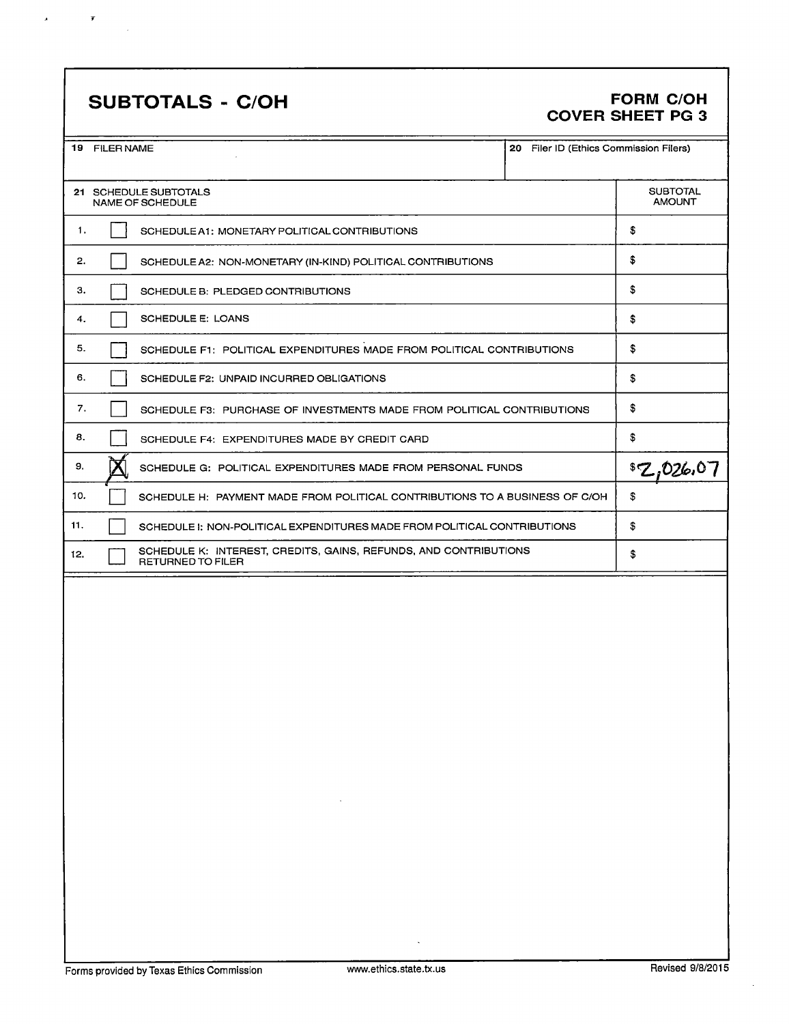# SUBTOTALS - C/OH FORM C/OH

 $\overline{r}$ 

 $\mathbf{A}$ 

# COVER SHEET PG 3

|                       | 19 FILER NAME<br>20 Filer ID (Ethics Commission Filers)                |                                                                                       |    |    |  |
|-----------------------|------------------------------------------------------------------------|---------------------------------------------------------------------------------------|----|----|--|
| 21 SCHEDULE SUBTOTALS | <b>SUBTOTAL</b><br><b>AMOUNT</b>                                       |                                                                                       |    |    |  |
| 1.                    |                                                                        | SCHEDULE A1: MONETARY POLITICAL CONTRIBUTIONS                                         |    | \$ |  |
| 2.                    |                                                                        | SCHEDULE A2: NON-MONETARY (IN-KIND) POLITICAL CONTRIBUTIONS                           |    | \$ |  |
| з.                    |                                                                        | SCHEDULE B: PLEDGED CONTRIBUTIONS                                                     |    | \$ |  |
| 4.                    | SCHEDULE E: LOANS                                                      |                                                                                       |    |    |  |
| 5.                    | SCHEDULE F1: POLITICAL EXPENDITURES MADE FROM POLITICAL CONTRIBUTIONS  |                                                                                       |    |    |  |
| 6.                    | SCHEDULE F2: UNPAID INCURRED OBLIGATIONS                               |                                                                                       |    |    |  |
| 7.                    | SCHEDULE F3: PURCHASE OF INVESTMENTS MADE FROM POLITICAL CONTRIBUTIONS |                                                                                       |    |    |  |
| 8.                    |                                                                        |                                                                                       | \$ |    |  |
| 9.                    |                                                                        | 8Z,026,01                                                                             |    |    |  |
| 10.                   |                                                                        | SCHEDULE H: PAYMENT MADE FROM POLITICAL CONTRIBUTIONS TO A BUSINESS OF C/OH           | \$ |    |  |
| 11.                   |                                                                        | SCHEDULE I: NON-POLITICAL EXPENDITURES MADE FROM POLITICAL CONTRIBUTIONS              |    |    |  |
| 12.                   |                                                                        | SCHEDULE K: INTEREST, CREDITS, GAINS, REFUNDS, AND CONTRIBUTIONS<br>RETURNED TO FILER |    | \$ |  |
|                       |                                                                        |                                                                                       |    |    |  |

÷,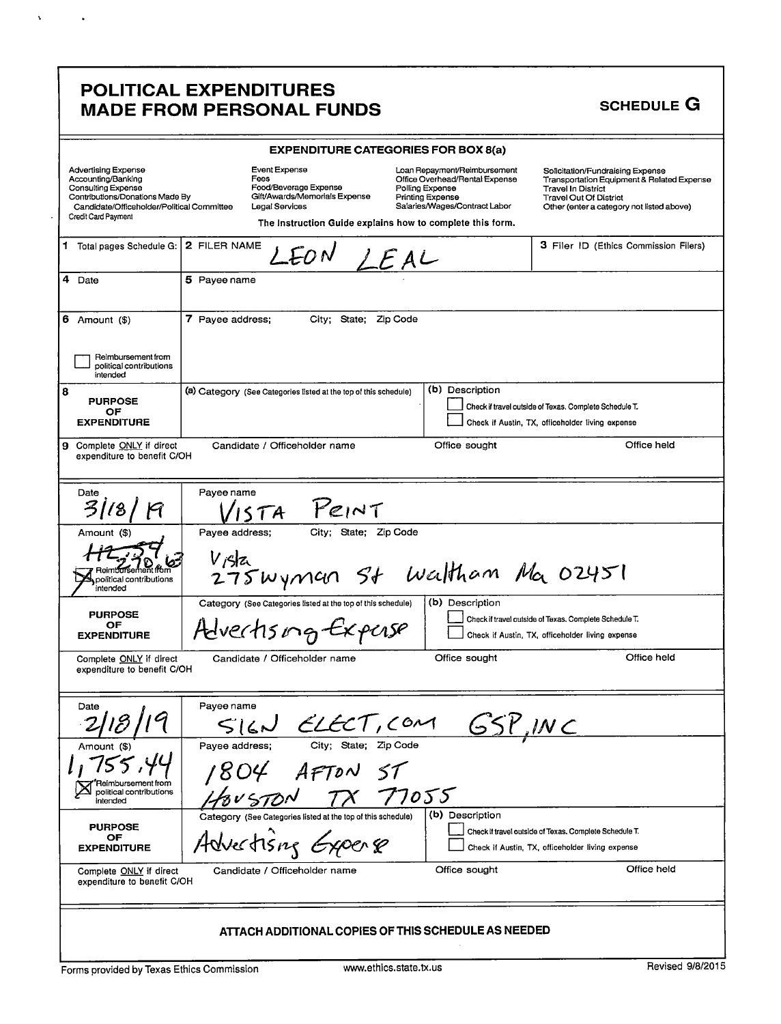### POLITICAL EXPENDITURES MADE FROM PERSONAL FUNDS

 $\mathbf{v} = \mathbf{v} \times \mathbf{v}$  .

|                                                                                                                                                                                |                                 | <b>EXPENDITURE CATEGORIES FOR BOX 8(a)</b>                                                                                                             |                                            |                                                                                                 |                                                                                                                                                                                           |                  |
|--------------------------------------------------------------------------------------------------------------------------------------------------------------------------------|---------------------------------|--------------------------------------------------------------------------------------------------------------------------------------------------------|--------------------------------------------|-------------------------------------------------------------------------------------------------|-------------------------------------------------------------------------------------------------------------------------------------------------------------------------------------------|------------------|
| <b>Advertising Expense</b><br>Accounting/Banking<br>Consulting Expense<br>Contributions/Donations Made By<br>Candidate/Officeholder/Political Committee<br>Credit Card Payment | Fees                            | Event Expense<br>Food/Beverage Expense<br>Gift/Awards/Memorials Expense<br>Legal Services<br>The Instruction Guide explains how to complete this form. | Polling Expense<br><b>Printing Expense</b> | Loan Repayment/Reimbursement<br>Office Overhead/Rental Expense<br>Salaries/Wages/Contract Labor | Solicitation/Fundraising Expense<br>Transportation Equipment & Related Expense<br><b>Travel In District</b><br><b>Travel Out Of District</b><br>Other (enter a category not listed above) |                  |
| 1 Total pages Schedule G:                                                                                                                                                      | 2 FILER NAME                    |                                                                                                                                                        |                                            |                                                                                                 | 3 Filer ID (Ethics Commission Filers)                                                                                                                                                     |                  |
| 4 Date                                                                                                                                                                         | 5 Payee name                    |                                                                                                                                                        |                                            |                                                                                                 |                                                                                                                                                                                           |                  |
| $6$ Amount $($)$                                                                                                                                                               | 7 Payee address;                | City; State; Zip Code                                                                                                                                  |                                            |                                                                                                 |                                                                                                                                                                                           |                  |
| Reimbursement from<br>political contributions<br>intended                                                                                                                      |                                 |                                                                                                                                                        |                                            |                                                                                                 |                                                                                                                                                                                           |                  |
| 8<br><b>PURPOSE</b><br>OF<br><b>EXPENDITURE</b>                                                                                                                                |                                 | (a) Category (See Categories listed at the top of this schedule)                                                                                       |                                            | (b) Description                                                                                 | Check if travel outside of Texas. Complete Schedule T.<br>Check if Austin, TX, officeholder living expense                                                                                |                  |
| Complete ONLY if direct<br>9.<br>expenditure to benefit C/OH                                                                                                                   |                                 | Candidate / Officeholder name                                                                                                                          |                                            | Office sought                                                                                   |                                                                                                                                                                                           | Office held      |
| Date<br>$\mathcal{Z}_I$                                                                                                                                                        | Payee name<br>15TA              | PEINT                                                                                                                                                  |                                            |                                                                                                 |                                                                                                                                                                                           |                  |
| Amount (\$)<br>Reimbursement from<br>political contributions<br>intended                                                                                                       | Payee address;<br>$V$ $\beta$ a | City; State; Zip Code<br>275 wyman St Waltham Ma 02451                                                                                                 |                                            |                                                                                                 |                                                                                                                                                                                           |                  |
| <b>PURPOSE</b><br>OF<br><b>EXPENDITURE</b>                                                                                                                                     |                                 | Category (See Categories listed at the top of this schedule)<br>Advectising Experse                                                                    |                                            | (b) Description                                                                                 | Check if travel outside of Texas. Complete Schedule T.<br>Check if Austin, TX, officeholder living expense                                                                                |                  |
| Complete ONLY if direct<br>expenditure to benefit C/OH                                                                                                                         |                                 | Candidate / Officeholder name                                                                                                                          |                                            | Office sought                                                                                   |                                                                                                                                                                                           | Office held      |
| Date                                                                                                                                                                           | Payee name                      | $S(C)$ ELECT, COM GSP, INC                                                                                                                             |                                            |                                                                                                 |                                                                                                                                                                                           |                  |
| Amount<br>Reimbursement from<br>political contributions<br>intended                                                                                                            | Pavee address;<br>BUSTON        | 1804 AFTON ST                                                                                                                                          | 77055                                      |                                                                                                 |                                                                                                                                                                                           |                  |
| <b>PURPOSE</b><br>OF<br><b>EXPENDITURE</b>                                                                                                                                     |                                 | Category (See Categories listed at the top of this schedule)<br>Advertising Experte                                                                    |                                            | (b) Description                                                                                 | Check if travel outside of Texas. Complete Schedule T.<br>Check if Austin, TX, officeholder living expense                                                                                |                  |
| Complete ONLY if direct<br>expenditure to benefit C/OH                                                                                                                         |                                 | Candidate / Officeholder name                                                                                                                          |                                            | Office sought                                                                                   |                                                                                                                                                                                           | Office held      |
|                                                                                                                                                                                |                                 | ATTACH ADDITIONAL COPIES OF THIS SCHEDULE AS NEEDED                                                                                                    |                                            |                                                                                                 |                                                                                                                                                                                           |                  |
| Forms provided by Texas Ethics Commission                                                                                                                                      |                                 |                                                                                                                                                        | www.ethics.state.tx.us                     |                                                                                                 |                                                                                                                                                                                           | Revised 9/8/2015 |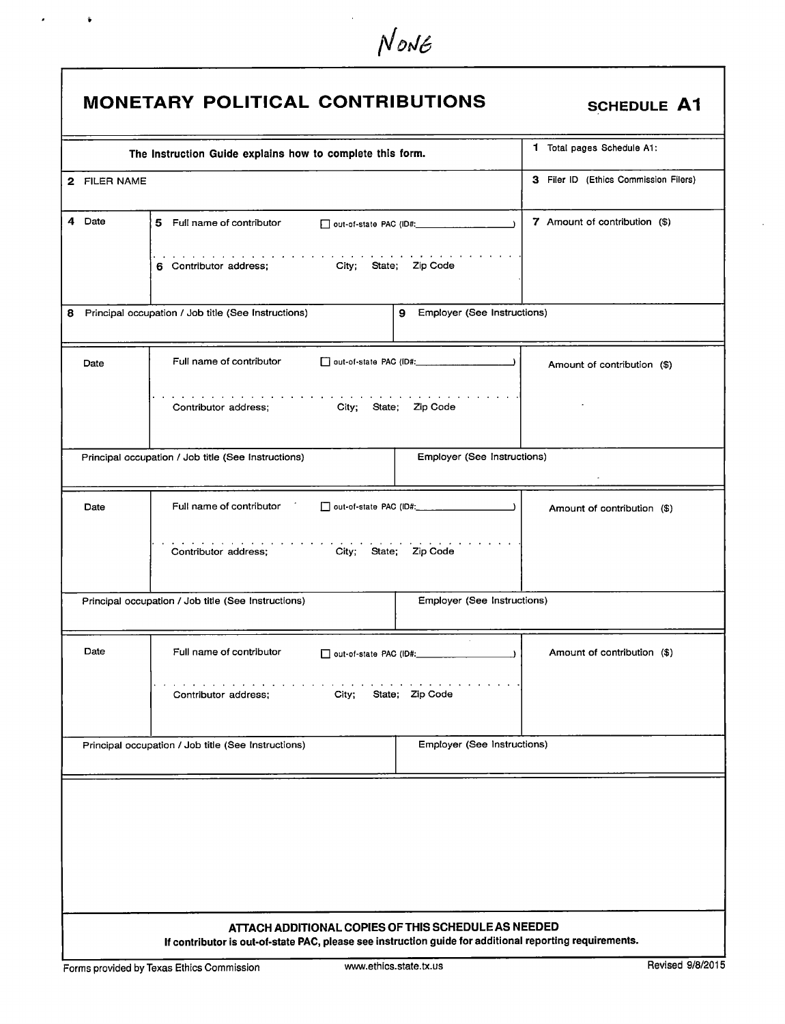|              | The Instruction Guide explains how to complete this form.                                                                                                                                                                                                                           |                               | 1 Total pages Schedule A1:            |
|--------------|-------------------------------------------------------------------------------------------------------------------------------------------------------------------------------------------------------------------------------------------------------------------------------------|-------------------------------|---------------------------------------|
| 2 FILER NAME |                                                                                                                                                                                                                                                                                     |                               | 3 Filer ID (Ethics Commission Filers) |
| 4 Date       | 5 Full name of contributor<br>6 Contributor address; City; State; Zip Code                                                                                                                                                                                                          |                               | 7 Amount of contribution (\$)         |
|              | Principal occupation / Job title (See Instructions)                                                                                                                                                                                                                                 | 9 Employer (See Instructions) |                                       |
|              |                                                                                                                                                                                                                                                                                     |                               |                                       |
| Date         | Full name of contributor                                                                                                                                                                                                                                                            |                               | Amount of contribution (\$)           |
|              | $\mathcal{A}$ . The contribution of the contribution of the contribution of the contribution of the contribution of the contribution of the contribution of the contribution of the contribution of the contribution of the contri<br>City; State; Zip Code<br>Contributor address; |                               |                                       |
|              | Principal occupation / Job title (See Instructions)                                                                                                                                                                                                                                 | Employer (See Instructions)   |                                       |
| Date         | Full name of contributor for                                                                                                                                                                                                                                                        |                               | Amount of contribution (\$)           |
|              | والمناور والمناور والمناور والمناور والمناور والمناور<br>Contributor address; City; State; Zip Code                                                                                                                                                                                 |                               |                                       |
|              | Principal occupation / Job title (See Instructions)                                                                                                                                                                                                                                 | Employer (See Instructions)   |                                       |
| Date         | Full name of contributor                                                                                                                                                                                                                                                            |                               | Amount of contribution (\$)           |
|              | Contributor address;<br>City;                                                                                                                                                                                                                                                       | State; Zip Code               |                                       |
|              | Principal occupation / Job title (See Instructions)                                                                                                                                                                                                                                 | Employer (See Instructions)   |                                       |

NONE

 $\mathbf{z} = \mathbf{z} - \mathbf{y}$ 

 $\hat{\mathbf{r}}$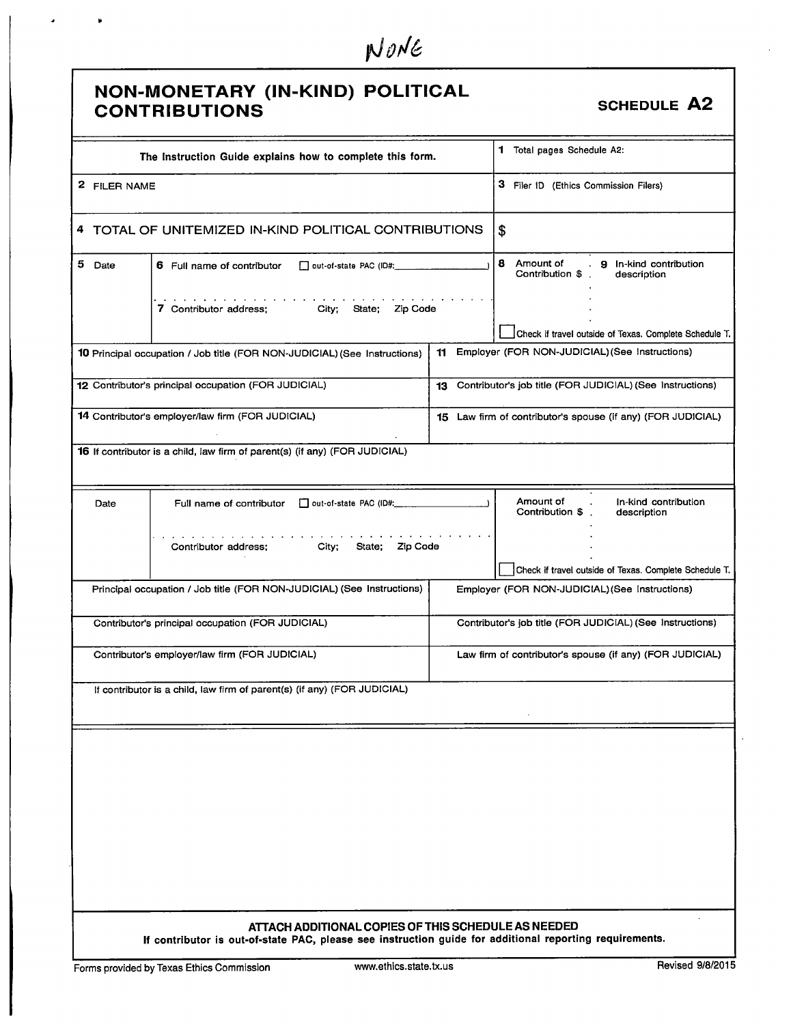|  | NONE |
|--|------|
|--|------|

|                                                                             | NON-MONETARY (IN-KIND) POLITICAL<br><b>CONTRIBUTIONS</b>                                                                                                       |    | <b>SCHEDULE A2</b>                                                                |  |
|-----------------------------------------------------------------------------|----------------------------------------------------------------------------------------------------------------------------------------------------------------|----|-----------------------------------------------------------------------------------|--|
|                                                                             | The Instruction Guide explains how to complete this form.                                                                                                      |    | 1 Total pages Schedule A2:                                                        |  |
| 2 FILER NAME                                                                |                                                                                                                                                                |    | 3 Filer ID (Ethics Commission Filers)                                             |  |
|                                                                             | 4 TOTAL OF UNITEMIZED IN-KIND POLITICAL CONTRIBUTIONS                                                                                                          |    | \$                                                                                |  |
| 5 Date<br>6 Full name of contributor<br>out-of-state PAC (ID#: 2000)        |                                                                                                                                                                |    | 8 Amount of<br>. <b>9</b> In-kind contribution<br>Contribution \$.<br>description |  |
| <b>1998</b><br><b>7</b> Contributor address; City; State; Zip Code          |                                                                                                                                                                |    | Check if travel outside of Texas. Complete Schedule T.                            |  |
|                                                                             | 10 Principal occupation / Job title (FOR NON-JUDICIAL) (See Instructions)                                                                                      | 11 | Employer (FOR NON-JUDICIAL) (See Instructions)                                    |  |
|                                                                             |                                                                                                                                                                |    |                                                                                   |  |
|                                                                             | 12 Contributor's principal occupation (FOR JUDICIAL)                                                                                                           |    | 13 Contributor's job title (FOR JUDICIAL) (See Instructions)                      |  |
|                                                                             | 14 Contributor's employer/law firm (FOR JUDICIAL)                                                                                                              |    | 15 Law firm of contributor's spouse (if any) (FOR JUDICIAL)                       |  |
| 16 If contributor is a child, law firm of parent(s) (if any) (FOR JUDICIAL) |                                                                                                                                                                |    |                                                                                   |  |
| Date                                                                        | Full name of contributor   out-of-state PAC (ID#:                                                                                                              |    | Amount of<br>In-kind contribution<br>Contribution \$.<br>description              |  |
|                                                                             | State; Zip Code<br>Contributor address:<br>City;                                                                                                               |    | Check if travel outside of Texas. Complete Schedule T.                            |  |
|                                                                             | Principal occupation / Job title (FOR NON-JUDICIAL) (See Instructions)                                                                                         |    | Employer (FOR NON-JUDICIAL) (See Instructions)                                    |  |
|                                                                             | Contributor's principal occupation (FOR JUDICIAL)                                                                                                              |    | Contributor's job title (FOR JUDICIAL) (See Instructions)                         |  |
|                                                                             | Contributor's employer/law firm (FOR JUDICIAL)                                                                                                                 |    | Law firm of contributor's spouse (if any) (FOR JUDICIAL)                          |  |
|                                                                             | If contributor is a child, law firm of parent(s) (if any) (FOR JUDICIAL)                                                                                       |    |                                                                                   |  |
|                                                                             |                                                                                                                                                                |    |                                                                                   |  |
|                                                                             |                                                                                                                                                                |    |                                                                                   |  |
|                                                                             |                                                                                                                                                                |    |                                                                                   |  |
|                                                                             |                                                                                                                                                                |    |                                                                                   |  |
|                                                                             |                                                                                                                                                                |    |                                                                                   |  |
|                                                                             |                                                                                                                                                                |    |                                                                                   |  |
|                                                                             |                                                                                                                                                                |    |                                                                                   |  |
|                                                                             |                                                                                                                                                                |    |                                                                                   |  |
|                                                                             | ATTACH ADDITIONAL COPIES OF THIS SCHEDULE AS NEEDED<br>If contributor is out-of-state PAC, please see instruction guide for additional reporting requirements. |    |                                                                                   |  |

 $\bullet$ 

Г

 $\ddot{\bullet}$ 

 $\bar{z}$ 

٦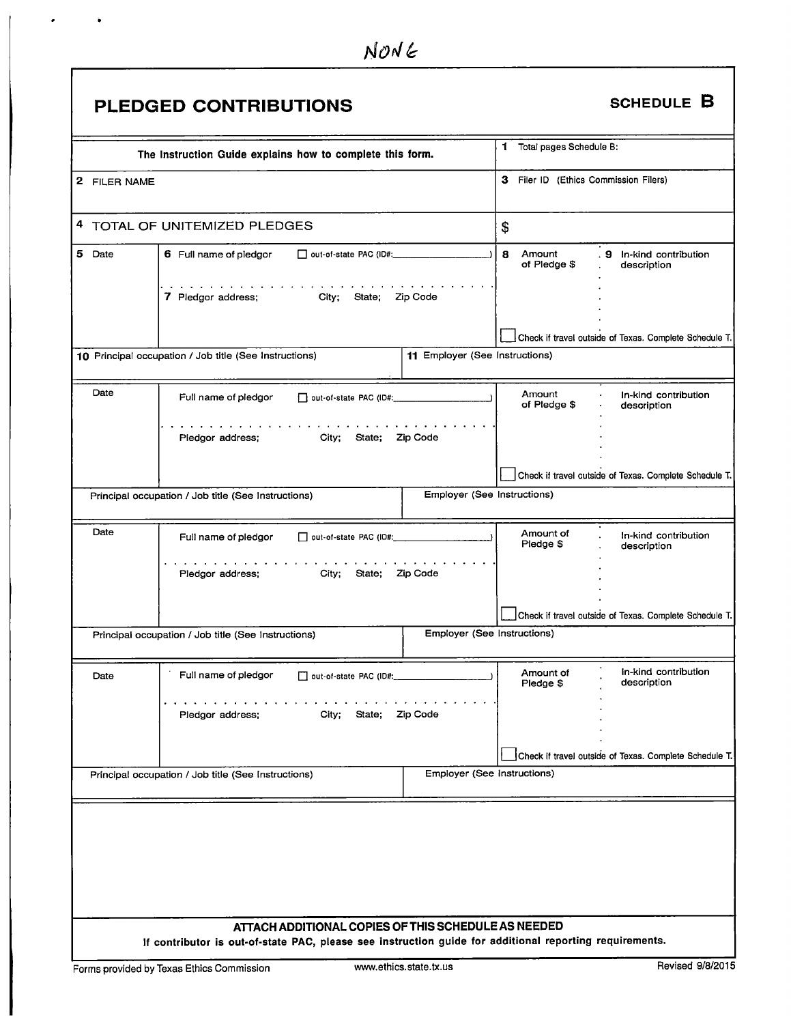|              | PLEDGED CONTRIBUTIONS                                                                                                                                                                                                                                                    |                                |                                       | <b>SCHEDULE B</b>                                      |
|--------------|--------------------------------------------------------------------------------------------------------------------------------------------------------------------------------------------------------------------------------------------------------------------------|--------------------------------|---------------------------------------|--------------------------------------------------------|
|              | The Instruction Guide explains how to complete this form.                                                                                                                                                                                                                |                                | 1 Total pages Schedule B:             |                                                        |
| 2 FILER NAME |                                                                                                                                                                                                                                                                          |                                | 3 Filer ID (Ethics Commission Filers) |                                                        |
|              | 4 TOTAL OF UNITEMIZED PLEDGES                                                                                                                                                                                                                                            |                                | \$                                    |                                                        |
| 5 Date       | 6 Full name of pledgor<br>□ out-of-state PAC (ID#: 2000)                                                                                                                                                                                                                 |                                | 8<br>Amount<br>of Pledge \$           | . 9 In-kind contribution<br>description                |
|              | a construction of the construction of the construction of the construction of the construction of the construction of the construction of the construction of the construction of the construction of the construction of the<br>7 Pledgor address; City;<br>State;      | Zip Code                       |                                       |                                                        |
|              | 10 Principal occupation / Job title (See Instructions)                                                                                                                                                                                                                   | 11 Employer (See Instructions) |                                       | Check if travel outside of Texas. Complete Schedule T. |
|              |                                                                                                                                                                                                                                                                          |                                |                                       |                                                        |
| Date         | Full name of pledgor                                                                                                                                                                                                                                                     |                                | Amount<br>of Pledge \$                | In-kind contribution<br>description                    |
|              | design a comparison of the companies of the companies of the companies of the companies of the companies of the companies of the companies of the companies of the companies of the companies of the companies of the companie<br>Piedgor address; City; State; Zip Code |                                |                                       |                                                        |
|              |                                                                                                                                                                                                                                                                          |                                |                                       | Check if travel outside of Texas. Complete Schedule T. |
|              | Principal occupation / Job title (See Instructions)                                                                                                                                                                                                                      | Employer (See Instructions)    |                                       |                                                        |
| Date         | Full name of pledgor<br>$\Box$ out-of-state PAC (ID#: _____________________                                                                                                                                                                                              |                                | Amount of<br>Pledge \$                | In-kind contribution<br>description                    |
|              | the contract of the contract of the contract of the contract of the contract of the contract of the contract of the contract of the contract of the contract of the contract of the contract of the contract of the contract o<br>City;<br>Pledgor address;<br>State;    | Zip Code                       |                                       |                                                        |
|              |                                                                                                                                                                                                                                                                          |                                |                                       | Check if travel outside of Texas. Complete Schedule T. |
|              | Principal occupation / Job title (See Instructions)                                                                                                                                                                                                                      | Employer (See Instructions)    |                                       |                                                        |
| Date         | Full name of pledgor<br>out-of-state PAC (ID#:                                                                                                                                                                                                                           |                                | Amount of<br>Pledge \$                | In-kind contribution<br>description                    |
|              | Pledgor address;<br>City;<br>State;                                                                                                                                                                                                                                      | Zip Code                       |                                       |                                                        |
|              |                                                                                                                                                                                                                                                                          |                                |                                       | Check if travel outside of Texas. Complete Schedule T. |
|              | Principal occupation / Job title (See Instructions)                                                                                                                                                                                                                      | Employer (See Instructions)    |                                       |                                                        |
|              |                                                                                                                                                                                                                                                                          |                                |                                       |                                                        |
|              | ATTACH ADDITIONAL COPIES OF THIS SCHEDULE AS NEEDED                                                                                                                                                                                                                      |                                |                                       |                                                        |
|              | If contributor is out-of-state PAC, please see instruction guide for additional reporting requirements.                                                                                                                                                                  |                                |                                       |                                                        |
|              | Forms provided by Texas Ethics Commission                                                                                                                                                                                                                                | www.ethics.state.tx.us         |                                       | Revised 9/8/2015                                       |

 $\overline{\phantom{a}}$ 

 $\cdot$ 

 $\ddot{\bullet}$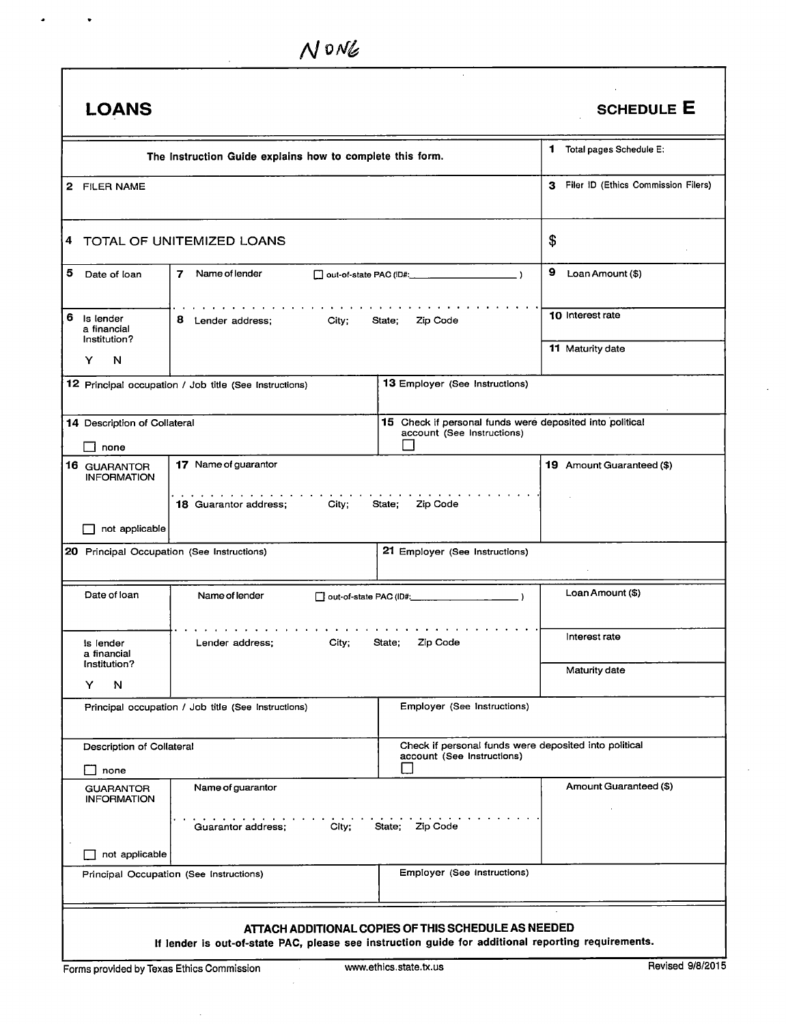$\overline{a}$ 

 $\bullet$ 

 $\ddot{\phantom{0}}$ 

| <b>LOANS</b>                                   |                                                                                                    |                                                                                        | <b>SCHEDULE E</b>                     |
|------------------------------------------------|----------------------------------------------------------------------------------------------------|----------------------------------------------------------------------------------------|---------------------------------------|
|                                                | The Instruction Guide explains how to complete this form.                                          |                                                                                        | 1 Total pages Schedule E:             |
| 2 FILER NAME                                   |                                                                                                    |                                                                                        | 3 Filer ID (Ethics Commission Filers) |
|                                                | 4 TOTAL OF UNITEMIZED LOANS                                                                        |                                                                                        | \$                                    |
| 5<br>Date of loan                              | Name of lender<br>7                                                                                |                                                                                        | 9<br>Loan Amount (\$)                 |
| 6.<br>Is lender<br>a financial<br>Institution? | 8<br>Lender address;<br>City:                                                                      | Zip Code<br>State;                                                                     | 10 Interest rate                      |
| N<br>Y                                         |                                                                                                    |                                                                                        | 11 Maturity date                      |
|                                                | 12 Principal occupation / Job title (See Instructions)                                             | 13 Employer (See Instructions)                                                         |                                       |
| 14 Description of Collateral<br>none           |                                                                                                    | 15 Check if personal funds were deposited into political<br>account (See Instructions) |                                       |
| 16 GUARANTOR<br><b>INFORMATION</b>             | 17 Name of guarantor                                                                               |                                                                                        | 19 Amount Guaranteed (\$)             |
| not applicable<br>$\Box$                       | 18 Guarantor address;<br>City;                                                                     | State;<br>Zip Code                                                                     |                                       |
|                                                | 20 Principal Occupation (See Instructions)                                                         | 21 Employer (See Instructions)                                                         |                                       |
| Date of loan                                   | Name of lender                                                                                     | □ out-of-state PAC (ID#: ___________________                                           | Loan Amount (\$)                      |
| Is lender<br>a financial                       | City;<br>Lender address;                                                                           | State;<br>Zip Code                                                                     | Interest rate                         |
| Institution?<br>Y<br>N                         |                                                                                                    |                                                                                        | Maturity date                         |
|                                                | Principal occupation / Job title (See Instructions)                                                | Employer (See Instructions)                                                            |                                       |
| Description of Collateral<br>none              |                                                                                                    | Check if personal funds were deposited into political<br>account (See Instructions)    |                                       |
| <b>GUARANTOR</b><br><b>INFORMATION</b>         | Name of guarantor                                                                                  |                                                                                        | Amount Guaranteed (\$)                |
|                                                | City;<br>Guarantor address;                                                                        | State; Zip Code                                                                        |                                       |
| not applicable                                 |                                                                                                    |                                                                                        |                                       |
|                                                | Principal Occupation (See Instructions)                                                            | Employer (See Instructions)                                                            |                                       |
|                                                | If lender is out-of-state PAC, please see instruction guide for additional reporting requirements. | ATTACH ADDITIONAL COPIES OF THIS SCHEDULE AS NEEDED                                    |                                       |
| Forms provided by Texas Ethics Commission      |                                                                                                    | www.ethics.state.tx.us                                                                 | Revised 9/8/2015                      |

 $\sim$ 

 $\mathcal{L}$ 

 $\ddot{\phantom{a}}$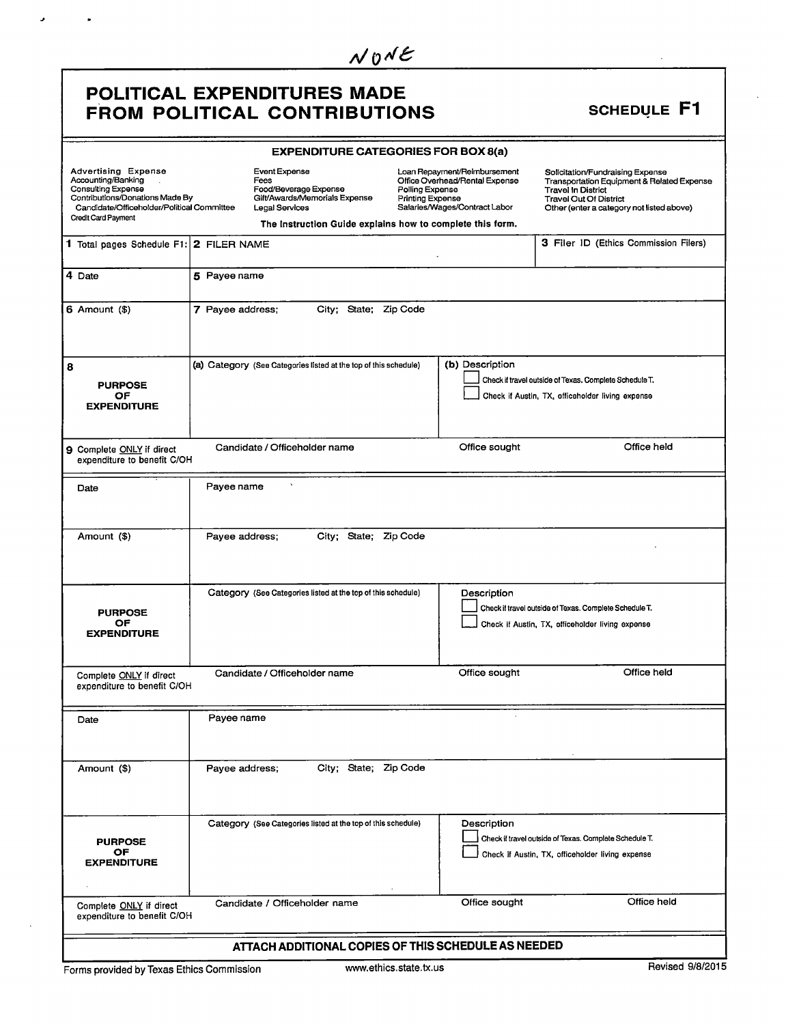### POLITICAL EXPENDITURES MADE FROM POLITICAL CONTRIBUTIONS SCHEDULE F1

J.

 $\ddot{\phantom{0}}$ 

|                                                                                                                                                                                |                  | <b>EXPENDITURE CATEGORIES FOR BOX 8(a)</b>                                                                                                                            |                                            |                                                                                                 |                                                                                                                                                                                           |
|--------------------------------------------------------------------------------------------------------------------------------------------------------------------------------|------------------|-----------------------------------------------------------------------------------------------------------------------------------------------------------------------|--------------------------------------------|-------------------------------------------------------------------------------------------------|-------------------------------------------------------------------------------------------------------------------------------------------------------------------------------------------|
| <b>Advertising Expense</b><br>Accounting/Banking<br>Consulting Expense<br>Contributions/Donations Made By<br>Candidate/Officeholder/Political Committee<br>Credit Card Payment |                  | Event Expense<br>Fees<br>Food/Beverage Expense<br>Gift/Awards/Memorials Expense<br><b>Legal Services</b><br>The Instruction Guide explains how to complete this form. | Polling Expense<br><b>Printing Expense</b> | Loan Repayment/Reimbursement<br>Office Overhead/Rental Expense<br>Salaries/Wages/Contract Labor | Solicitation/Fundraising Expense<br>Transportation Equipment & Related Expense<br><b>Travel In District</b><br><b>Travel Out Of District</b><br>Other (enter a category not listed above) |
| 1 Total pages Schedule F1: 2 FILER NAME                                                                                                                                        |                  |                                                                                                                                                                       |                                            |                                                                                                 | 3 Filer ID (Ethics Commission Filers)                                                                                                                                                     |
| 4 Date                                                                                                                                                                         | 5 Payee name     |                                                                                                                                                                       |                                            |                                                                                                 |                                                                                                                                                                                           |
| $6$ Amount $($)$                                                                                                                                                               | 7 Payee address; | City; State;                                                                                                                                                          | Zip Code                                   |                                                                                                 |                                                                                                                                                                                           |
| 8<br><b>PURPOSE</b><br>ОF<br><b>EXPENDITURE</b>                                                                                                                                |                  | (a) Category (See Categories listed at the top of this schedule)                                                                                                      |                                            | (b) Description                                                                                 | Check if travel outside of Texas. Complete Schedule T.<br>Check if Austin, TX, officeholder living expense                                                                                |
| 9 Complete ONLY if direct<br>expenditure to benefit C/OH                                                                                                                       |                  | Candidate / Officeholder name                                                                                                                                         |                                            | Office sought                                                                                   | Office held                                                                                                                                                                               |
| Date                                                                                                                                                                           | Payee name       |                                                                                                                                                                       |                                            |                                                                                                 |                                                                                                                                                                                           |
| Amount (\$)                                                                                                                                                                    | Payee address;   | City; State; Zip Code                                                                                                                                                 |                                            |                                                                                                 |                                                                                                                                                                                           |
| <b>PURPOSE</b><br>OF.<br><b>EXPENDITURE</b>                                                                                                                                    |                  | Category (See Categories listed at the top of this schedule)                                                                                                          |                                            | Description                                                                                     | Check if travel outside of Texas. Complete Schedule T.<br>Check if Austin, TX, officeholder living expense                                                                                |
| Complete ONLY if direct<br>expenditure to benefit C/OH                                                                                                                         |                  | Candidate / Officeholder name                                                                                                                                         |                                            | Office sought                                                                                   | Office held                                                                                                                                                                               |
| Date                                                                                                                                                                           | Payee name       |                                                                                                                                                                       |                                            |                                                                                                 |                                                                                                                                                                                           |
| Amount (\$)                                                                                                                                                                    | Payee address;   | City; State; Zip Code                                                                                                                                                 |                                            |                                                                                                 |                                                                                                                                                                                           |
| <b>PURPOSE</b><br>OF<br><b>EXPENDITURE</b>                                                                                                                                     |                  | Category (See Categories listed at the top of this schedule)                                                                                                          |                                            | Description                                                                                     | Check if travel outside of Texas. Complete Schedule T.<br>Check if Austin, TX, officeholder living expense                                                                                |
| Complete ONLY if direct<br>expenditure to benefit C/OH                                                                                                                         |                  | Candidate / Officeholder name                                                                                                                                         |                                            | Office sought                                                                                   | Office held                                                                                                                                                                               |
| ATTACH ADDITIONAL COPIES OF THIS SCHEDULE AS NEEDED                                                                                                                            |                  |                                                                                                                                                                       |                                            |                                                                                                 |                                                                                                                                                                                           |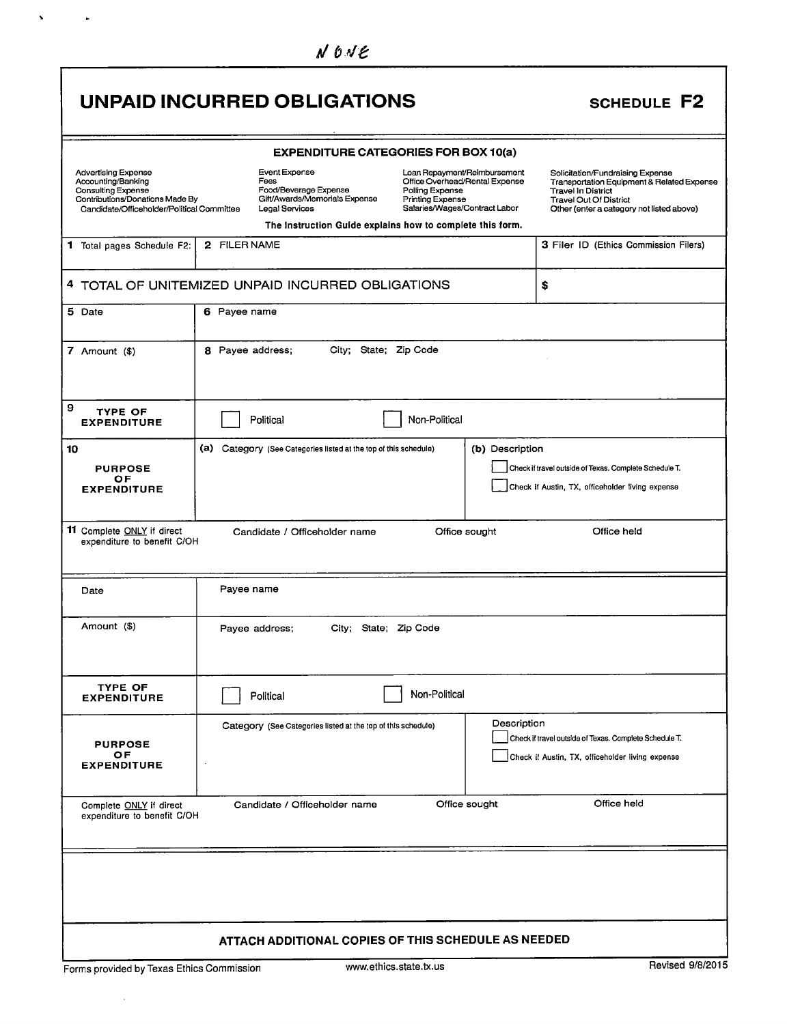|                                                                                                                                                         | <b>UNPAID INCURRED OBLIGATIONS</b>                                                                |                                                                                                                                                                                                     | <b>SCHEDULE F2</b>                                                                                                                                                                        |
|---------------------------------------------------------------------------------------------------------------------------------------------------------|---------------------------------------------------------------------------------------------------|-----------------------------------------------------------------------------------------------------------------------------------------------------------------------------------------------------|-------------------------------------------------------------------------------------------------------------------------------------------------------------------------------------------|
|                                                                                                                                                         |                                                                                                   | <b>EXPENDITURE CATEGORIES FOR BOX 10(a)</b>                                                                                                                                                         |                                                                                                                                                                                           |
| <b>Advertising Expense</b><br>Accounting/Banking<br>Consulting Expense<br>Contributions/Donations Made By<br>Candidate/Officeholder/Political Committee | Event Expense<br>Fees<br>Food/Beverage Expense<br>Gift/Awards/Memorials Expense<br>Legal Services | Loan Repayment/Reimbursement<br>Office Overhead/Rental Expense<br>Polling Expense<br>Printing Expense<br>Salaries/Wages/Contract Labor<br>The Instruction Guide explains how to complete this form. | Solicitation/Fundraising Expense<br>Transportation Equipment & Related Expense<br><b>Travel In District</b><br><b>Travel Out Of District</b><br>Other (enter a category not listed above) |
| 1 Total pages Schedule F2:                                                                                                                              | 2 FILER NAME                                                                                      |                                                                                                                                                                                                     | 3 Filer ID (Ethics Commission Filers)                                                                                                                                                     |
|                                                                                                                                                         | 4 TOTAL OF UNITEMIZED UNPAID INCURRED OBLIGATIONS                                                 |                                                                                                                                                                                                     | \$                                                                                                                                                                                        |
| 5 Date                                                                                                                                                  | 6 Payee name                                                                                      |                                                                                                                                                                                                     |                                                                                                                                                                                           |
| 7 Amount $($)$                                                                                                                                          | City; State; Zip Code<br>8 Payee address;                                                         |                                                                                                                                                                                                     |                                                                                                                                                                                           |
| 9<br><b>TYPE OF</b><br><b>EXPENDITURE</b>                                                                                                               | Political                                                                                         | Non-Political                                                                                                                                                                                       |                                                                                                                                                                                           |
| 10<br><b>PURPOSE</b><br>ОF<br><b>EXPENDITURE</b>                                                                                                        | (a) Category (See Categories listed at the top of this schedule)                                  | (b) Description                                                                                                                                                                                     | Check if travel outside of Texas. Complete Schedule T.<br>Check if Austin, TX, officeholder living expense                                                                                |
| 11 Complete ONLY if direct<br>expenditure to benefit C/OH                                                                                               | Candidate / Officeholder name                                                                     | Office sought                                                                                                                                                                                       | Office held                                                                                                                                                                               |
| Date                                                                                                                                                    | Payee name                                                                                        |                                                                                                                                                                                                     |                                                                                                                                                                                           |
| Amount (\$)                                                                                                                                             | City; State; Zip Code<br>Payee address;                                                           |                                                                                                                                                                                                     |                                                                                                                                                                                           |
| <b>TYPE OF</b><br><b>EXPENDITURE</b>                                                                                                                    | Political                                                                                         | Non-Political                                                                                                                                                                                       |                                                                                                                                                                                           |
| <b>PURPOSE</b><br>OF.<br><b>EXPENDITURE</b>                                                                                                             | Category (See Categories listed at the top of this schedule)                                      | Description                                                                                                                                                                                         | Check if travel outside of Texas. Complete Schedule T.<br>Check if Austin, TX, officeholder living expense                                                                                |
| Complete ONLY if direct<br>expenditure to benefit C/OH                                                                                                  | Candidate / Officeholder name                                                                     | Office sought                                                                                                                                                                                       | Office held                                                                                                                                                                               |
|                                                                                                                                                         |                                                                                                   |                                                                                                                                                                                                     |                                                                                                                                                                                           |
|                                                                                                                                                         | ATTACH ADDITIONAL COPIES OF THIS SCHEDULE AS NEEDED                                               |                                                                                                                                                                                                     |                                                                                                                                                                                           |
| Forms provided by Texas Ethics Commission                                                                                                               |                                                                                                   | www.ethics.state.tx.us                                                                                                                                                                              | Revised 9/8/2015                                                                                                                                                                          |

 $\mathbf{v}^{(i)}$  and  $\mathbf{v}^{(i)}$ 

 $\sim 10^6$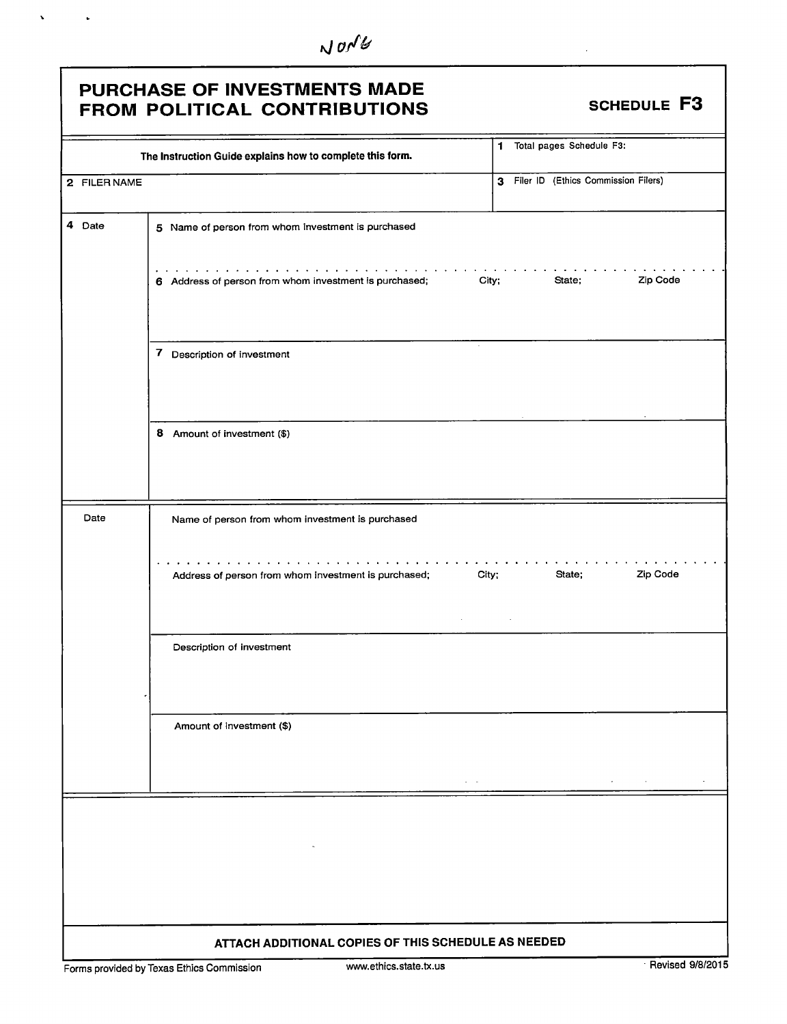$N$  on  $U$ 

### PURCHASE OF INVESTMENTS MADE FROM POLITICAL CONTRIBUTIONS SCHEDULE F3

 $\hat{\mathbf{v}}$ 

 $\ddot{\phantom{a}}$ 

|              | The Instruction Guide explains how to complete this form.       | 1 Total pages Schedule F3:            |
|--------------|-----------------------------------------------------------------|---------------------------------------|
| 2 FILER NAME |                                                                 | 3 Filer ID (Ethics Commission Filers) |
| 4 Date       | 5 Name of person from whom investment is purchased              |                                       |
|              | 6 Address of person from whom investment is purchased;<br>City; | Zip Code<br>State;                    |
|              | 7 Description of investment                                     |                                       |
|              | 8 Amount of investment (\$)                                     |                                       |
| Date         | Name of person from whom investment is purchased                |                                       |
|              | City;<br>Address of person from whom investment is purchased;   | Zip Code<br>State;                    |
|              | Description of investment                                       |                                       |
|              | Amount of investment (\$)<br>$\mathcal{A}^{\mathcal{A}}$ , and  | $\sigma_{\rm{max}}=0.1$               |
|              | $\sim$                                                          |                                       |
|              | ATTACH ADDITIONAL COPIES OF THIS SCHEDULE AS NEEDED             |                                       |

Forms provided by Texas Ethics Commission www.ethics.state.tx.us Revised 9/8/2015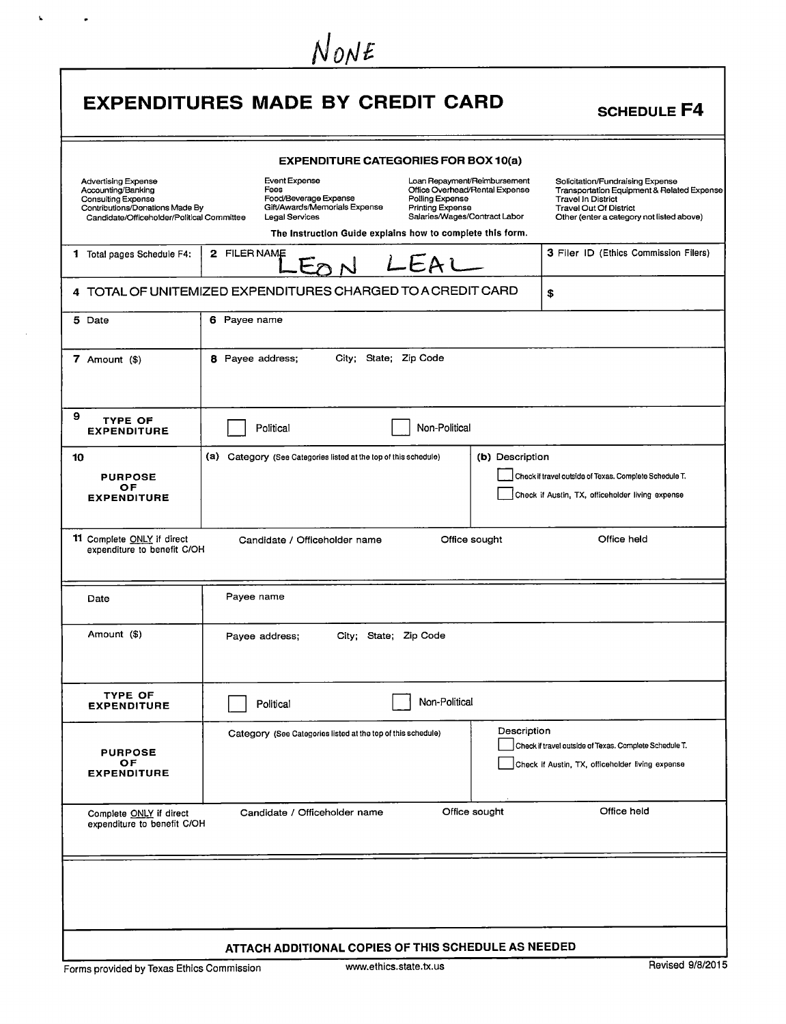|                                                                                                                                                         | NONE<br><b>EXPENDITURES MADE BY CREDIT CARD</b>                                                                                                                                                                                                                                                          | <b>SCHEDULE F4</b>                                                                                                                                                                        |
|---------------------------------------------------------------------------------------------------------------------------------------------------------|----------------------------------------------------------------------------------------------------------------------------------------------------------------------------------------------------------------------------------------------------------------------------------------------------------|-------------------------------------------------------------------------------------------------------------------------------------------------------------------------------------------|
|                                                                                                                                                         | <b>EXPENDITURE CATEGORIES FOR BOX 10(a)</b>                                                                                                                                                                                                                                                              |                                                                                                                                                                                           |
| <b>Advertising Expense</b><br>Accounting/Banking<br>Consulting Expense<br>Contributions/Donations Made By<br>Candidate/Officeholder/Political Committee | Event Expense<br>Loan Repayment/Reimbursement<br>Fees<br>Office Overhead/Rental Expense<br>Food/Beverage Expense<br>Polling Expense<br>Gift/Awards/Memorials Expense<br>Printing Expense<br>Salaries/Wages/Contract Labor<br>Legal Services<br>The Instruction Guide explains how to complete this form. | Solicitation/Fundraising Expense<br>Transportation Equipment & Related Expense<br><b>Travel In District</b><br><b>Travel Out Of District</b><br>Other (enter a category not listed above) |
| 1 Total pages Schedule F4:                                                                                                                              | 2 FILER NAME<br>LEAL                                                                                                                                                                                                                                                                                     | 3 Filer ID (Ethics Commission Filers)                                                                                                                                                     |
|                                                                                                                                                         | 4 TOTAL OF UNITEMIZED EXPENDITURES CHARGED TO A CREDIT CARD                                                                                                                                                                                                                                              | \$                                                                                                                                                                                        |
| 5 Date                                                                                                                                                  | 6 Payee name                                                                                                                                                                                                                                                                                             |                                                                                                                                                                                           |
| 7 Amount (\$)                                                                                                                                           | City; State; Zip Code<br>8 Payee address;                                                                                                                                                                                                                                                                |                                                                                                                                                                                           |
| 9<br><b>TYPE OF</b><br><b>EXPENDITURE</b>                                                                                                               | Political<br>Non-Political                                                                                                                                                                                                                                                                               |                                                                                                                                                                                           |
| 10<br><b>PURPOSE</b><br>ОF<br><b>EXPENDITURE</b>                                                                                                        | (a) Category (See Categories listed at the top of this schedule)<br>(b) Description                                                                                                                                                                                                                      | Check if travel outside of Texas. Complete Schedule T.<br>Check if Austin, TX, officeholder living expense                                                                                |
| 11 Complete ONLY if direct<br>expenditure to benefit C/OH                                                                                               | Office sought<br>Candidate / Officeholder name                                                                                                                                                                                                                                                           | Office held                                                                                                                                                                               |
| Date                                                                                                                                                    | Payee name                                                                                                                                                                                                                                                                                               |                                                                                                                                                                                           |
| Amount (\$)                                                                                                                                             | City; State; Zip Code<br>Payee address;                                                                                                                                                                                                                                                                  |                                                                                                                                                                                           |
| TYPE OF<br><b>EXPENDITURE</b>                                                                                                                           | Non-Political<br>Political                                                                                                                                                                                                                                                                               |                                                                                                                                                                                           |
| <b>PURPOSE</b><br>ОF<br><b>EXPENDITURE</b>                                                                                                              | Description<br>Category (See Categories listed at the top of this schedule)                                                                                                                                                                                                                              | Check if travel outside of Texas. Complete Schedule T.<br>Check if Austin, TX, officeholder living expense                                                                                |
| Complete ONLY if direct<br>expenditure to benefit C/OH                                                                                                  | Office sought<br>Candidate / Officeholder name                                                                                                                                                                                                                                                           | Office held                                                                                                                                                                               |
|                                                                                                                                                         |                                                                                                                                                                                                                                                                                                          |                                                                                                                                                                                           |
|                                                                                                                                                         | ATTACH ADDITIONAL COPIES OF THIS SCHEDULE AS NEEDED                                                                                                                                                                                                                                                      |                                                                                                                                                                                           |

 $\mathbf{X}^{(t)}$  and  $\mathbf{X}^{(t)}$ 

 $\sim 10^{-1}$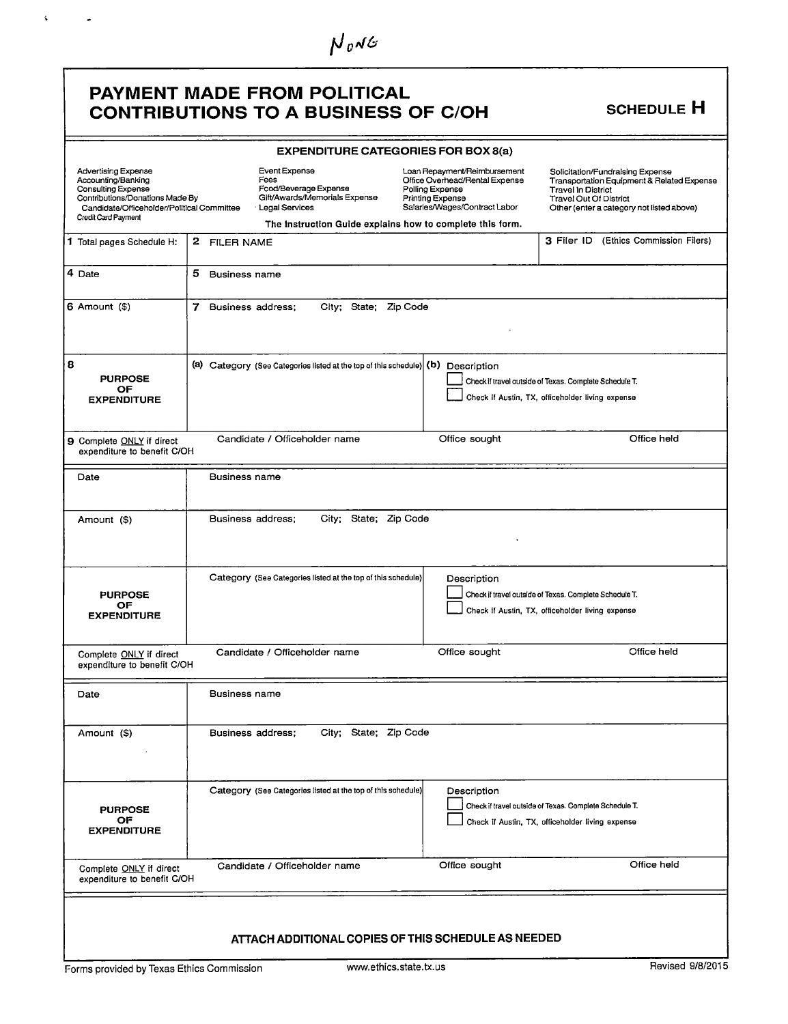| $N_{0}$ NG                                                                                                                                                                     |                           |                                                                                                                                                                |                                     |                                                                                                 |                                                                                                            |                                                                                         |
|--------------------------------------------------------------------------------------------------------------------------------------------------------------------------------|---------------------------|----------------------------------------------------------------------------------------------------------------------------------------------------------------|-------------------------------------|-------------------------------------------------------------------------------------------------|------------------------------------------------------------------------------------------------------------|-----------------------------------------------------------------------------------------|
|                                                                                                                                                                                |                           | <b>PAYMENT MADE FROM POLITICAL</b><br><b>CONTRIBUTIONS TO A BUSINESS OF C/OH</b>                                                                               |                                     |                                                                                                 |                                                                                                            | <b>SCHEDULE H</b>                                                                       |
|                                                                                                                                                                                |                           | <b>EXPENDITURE CATEGORIES FOR BOX 8(a)</b>                                                                                                                     |                                     |                                                                                                 |                                                                                                            |                                                                                         |
| <b>Advertising Expense</b><br>Accounting/Banking<br>Consulting Expense<br>Contributions/Donations Made By<br>Candidate/Officeholder/Political Committee<br>Credit Card Payment |                           | Event Expense<br>Fees<br>Food/Beverage Expense<br>Gift/Awards/Memorials Expense<br>Legal Services<br>The Instruction Guide explains how to complete this form. | Polling Expense<br>Printing Expense | Loan Repayment/Reimbursement<br>Office Overhead/Rental Expense<br>Salaries/Wages/Contract Labor | Solicitation/Fundraising Expense<br><b>Travel In District</b><br><b>Travel Out Of District</b>             | Transportation Equipment & Related Expense<br>Other (enter a category not listed above) |
| 1 Total pages Schedule H:                                                                                                                                                      | 2 FILER NAME              |                                                                                                                                                                |                                     |                                                                                                 |                                                                                                            | 3 Filer ID (Ethics Commission Filers)                                                   |
| 4 Date                                                                                                                                                                         | 5<br><b>Business name</b> |                                                                                                                                                                |                                     |                                                                                                 |                                                                                                            |                                                                                         |
| $6$ Amount $($)$                                                                                                                                                               | 7                         | Business address;<br>City: State: Zip Code                                                                                                                     |                                     |                                                                                                 |                                                                                                            |                                                                                         |
| 8<br><b>PURPOSE</b><br>OF.<br><b>EXPENDITURE</b>                                                                                                                               |                           | (a) Category (See Categories listed at the top of this schedule) (b) Description                                                                               |                                     |                                                                                                 | Check if travel outside of Texas. Complete Schedule T.<br>Check if Austin, TX, officeholder living expense |                                                                                         |
| 9 Complete ONLY if direct<br>expenditure to benefit C/OH                                                                                                                       |                           | Candidate / Officeholder name                                                                                                                                  |                                     | Office sought                                                                                   |                                                                                                            | Office held                                                                             |
| Date                                                                                                                                                                           | Business name             |                                                                                                                                                                |                                     |                                                                                                 |                                                                                                            |                                                                                         |
| Amount (\$)                                                                                                                                                                    |                           | City; State; Zip Code<br>Business address;                                                                                                                     |                                     |                                                                                                 |                                                                                                            |                                                                                         |
| <b>PURPOSE</b><br>ОF<br><b>EXPENDITURE</b>                                                                                                                                     |                           | Category (See Categories listed at the top of this schedule)                                                                                                   |                                     | Description                                                                                     | Check if travel outside of Texas. Complete Schedule T.<br>Check if Austin, TX, officeholder living expense |                                                                                         |
| Complete ONLY if direct<br>expenditure to benefit C/OH                                                                                                                         |                           | Candidate / Officeholder name                                                                                                                                  |                                     | Office sought                                                                                   |                                                                                                            | Office held                                                                             |
| Date                                                                                                                                                                           | <b>Business name</b>      |                                                                                                                                                                |                                     |                                                                                                 |                                                                                                            |                                                                                         |
| Amount (\$)                                                                                                                                                                    |                           | City; State; Zip Code<br>Business address;                                                                                                                     |                                     |                                                                                                 |                                                                                                            |                                                                                         |
| <b>PURPOSE</b><br>ОF<br><b>EXPENDITURE</b>                                                                                                                                     |                           | Category (See Categories listed at the top of this schedule)                                                                                                   |                                     | Description                                                                                     | Check if travel outside of Texas. Complete Schedule T.<br>Check if Austin, TX, officeholder living expense |                                                                                         |
| Complete ONLY if direct<br>expenditure to benefit C/OH                                                                                                                         |                           | Candidate / Officeholder name                                                                                                                                  |                                     | Office sought                                                                                   |                                                                                                            | Office held                                                                             |
|                                                                                                                                                                                |                           | ATTACH ADDITIONAL COPIES OF THIS SCHEDULE AS NEEDED                                                                                                            |                                     |                                                                                                 |                                                                                                            |                                                                                         |

 $\mathbf{V} = \left\{ \begin{array}{ll} \mathbf{V} & \mathbf{V} \\ \mathbf{V} & \mathbf{V} \end{array} \right.$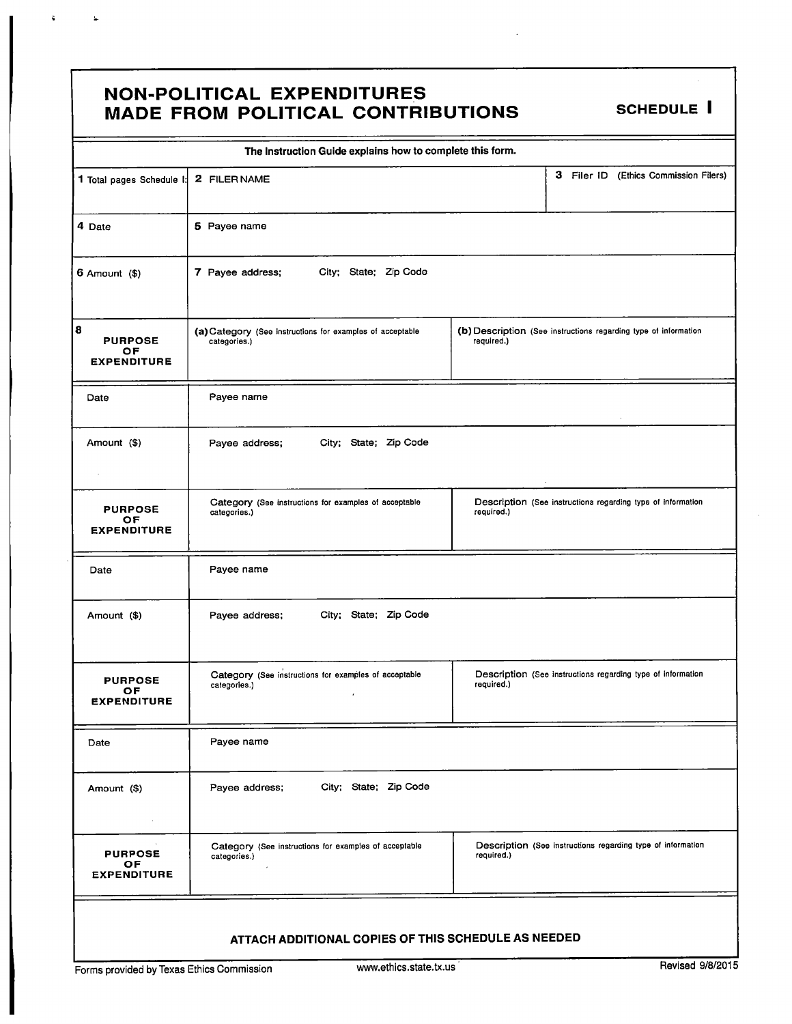#### **NON-POLITICAL EXPENDITURES** MADE FROM POLITICAL CONTRIBUTIONS SCHEDULE I

<sup>Y</sup> r

|                                                 | The Instruction Guide explains how to complete this form.                  |                                                                               |
|-------------------------------------------------|----------------------------------------------------------------------------|-------------------------------------------------------------------------------|
| 1 Total pages Schedule I:                       | 2 FILER NAME                                                               | 3 Filer ID (Ethics Commission Filers)                                         |
| 4 Date                                          | 5 Payee name                                                               |                                                                               |
| $6$ Amount $($)$                                | 7 Payee address;<br>City; State; Zip Code                                  |                                                                               |
| 8<br><b>PURPOSE</b><br>OF<br><b>EXPENDITURE</b> | (a) Category (See instructions for examples of acceptable<br>categories.)  | (b) Description (See instructions regarding type of information<br>required.) |
| Date                                            | Payee name                                                                 | ÷.                                                                            |
| Amount (\$)                                     | Payee address;<br>City; State; Zip Code                                    |                                                                               |
| <b>PURPOSE</b><br>OF<br><b>EXPENDITURE</b>      | Category (See instructions for examples of acceptable<br>categories.)      | Description (See instructions regarding type of information<br>required.)     |
| Date                                            | Payee name                                                                 |                                                                               |
| Amount (\$)                                     | City; State; Zip Code<br>Payee address;                                    |                                                                               |
| <b>PURPOSE</b><br>ОF<br><b>EXPENDITURE</b>      | Category (See instructions for examples of acceptable<br>categories.)<br>¥ | Description (See instructions regarding type of information<br>required.)     |
| Date                                            | Payee name                                                                 |                                                                               |
| Amount (\$)<br>$\epsilon$                       | City; State; Zip Code<br>Payee address;                                    |                                                                               |
| <b>PURPOSE</b><br>OF.<br><b>EXPENDITURE</b>     | Category (See instructions for examples of acceptable<br>categories.)      | Description (See instructions regarding type of information<br>required.)     |
|                                                 | ATTACH ADDITIONAL COPIES OF THIS SCHEDULE AS NEEDED                        |                                                                               |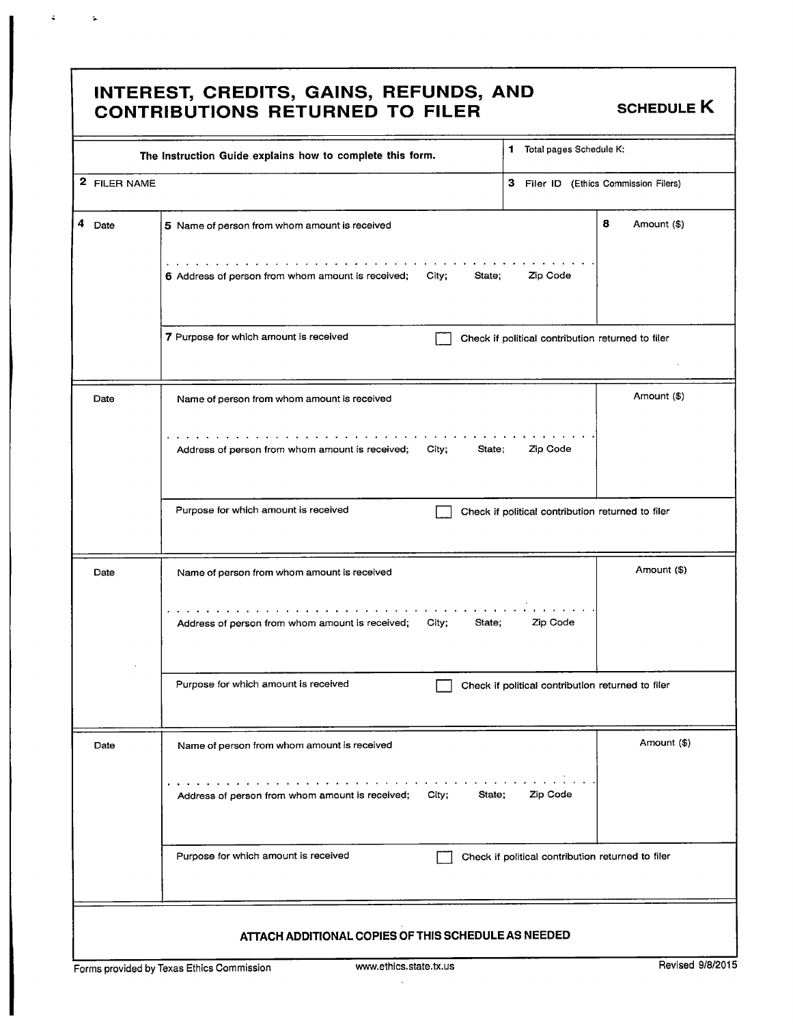#### INTEREST, CREDITS, GAINS, REFUNDS, AND CONTRIBUTIONS RETURNED TO FILER SCHEDULE K

 $\mathcal{A}^{\text{max}}_{\text{max}}$  , where  $\mathcal{A}^{\text{max}}_{\text{max}}$ 

|                                                     | The Instruction Guide explains how to complete this form.                                                               | Total pages Schedule K:<br>1                      |  |
|-----------------------------------------------------|-------------------------------------------------------------------------------------------------------------------------|---------------------------------------------------|--|
| 2 FILER NAME                                        |                                                                                                                         | 3 Filer ID (Ethics Commission Filers)             |  |
| 4<br>Date                                           | 5 Name of person from whom amount is received                                                                           | 8<br>Amount (\$)                                  |  |
|                                                     | the contract of the contract of the contract of<br>6 Address of person from whom amount is received;<br>City;<br>State; | Zip Code                                          |  |
|                                                     | 7 Purpose for which amount is received                                                                                  | Check if political contribution returned to filer |  |
| Date                                                | Name of person from whom amount is received                                                                             | Amount (\$)                                       |  |
|                                                     | Address of person from whom amount is received;<br>City;<br>State:                                                      | Zip Code                                          |  |
|                                                     | Purpose for which amount is received                                                                                    | Check if political contribution returned to filer |  |
| Date                                                | Name of person from whom amount is received                                                                             | Amount (\$)                                       |  |
|                                                     | Address of person from whom amount is received;<br>City;<br>State;                                                      | Zip Code                                          |  |
|                                                     | Purpose for which amount is received                                                                                    | Check if political contribution returned to filer |  |
| Date                                                | Name of person from whom amount is received                                                                             | Amount (\$)                                       |  |
|                                                     | and a series of the control of the<br>Address of person from whom amount is received;<br>City;<br>State:                | Zip Code                                          |  |
|                                                     | Purpose for which amount is received                                                                                    | Check if political contribution returned to filer |  |
| ATTACH ADDITIONAL COPIES OF THIS SCHEDULE AS NEEDED |                                                                                                                         |                                                   |  |
|                                                     | www.ethics.state.tx.us<br>Forms provided by Texas Ethics Commission                                                     | Revised 9/8/2015                                  |  |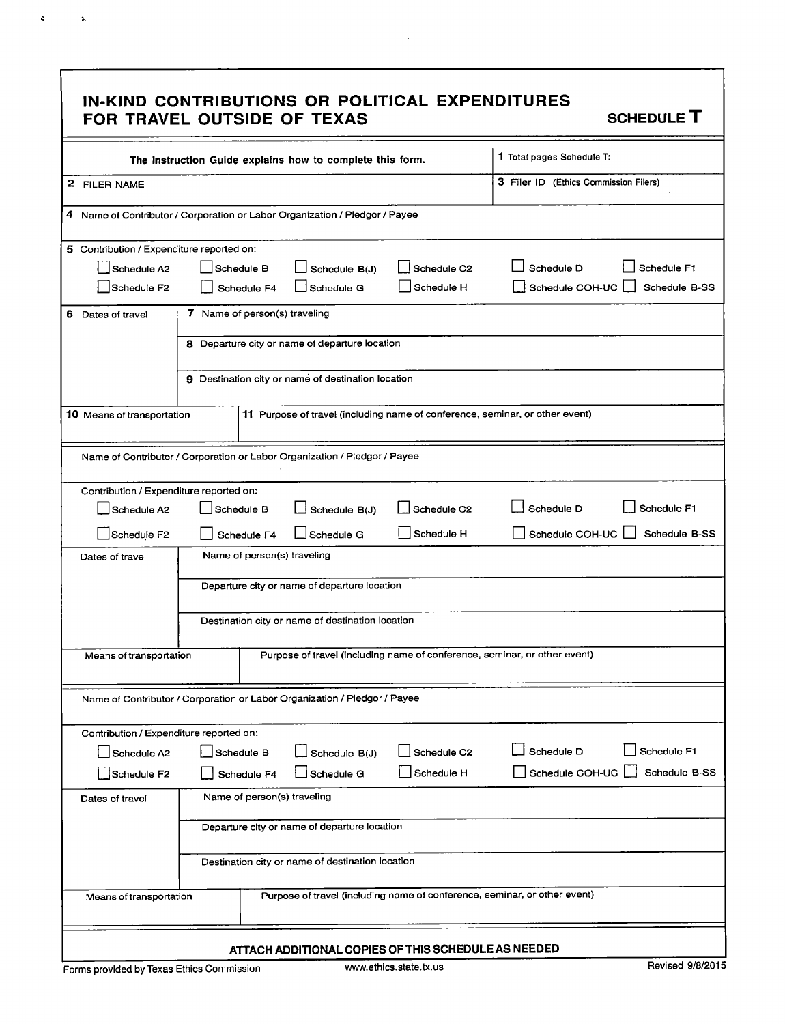#### IN- KIND CONTRIBUTIONS OR POLITICAL EXPENDITURES FOR TRAVEL OUTSIDE OF TEXAS SCHEDULE T

 $\hat{\mathbf{z}}$ 

 $\sim$ 

| The Instruction Guide explains how to complete this form.                 |                                                                                                      |                                                                           |                         | 1 Total pages Schedule T:                                                    |  |
|---------------------------------------------------------------------------|------------------------------------------------------------------------------------------------------|---------------------------------------------------------------------------|-------------------------|------------------------------------------------------------------------------|--|
| 2 FILER NAME                                                              |                                                                                                      |                                                                           |                         | 3 Filer ID (Ethics Commission Filers)                                        |  |
|                                                                           | 4 Name of Contributor / Corporation or Labor Organization / Pledgor / Payee                          |                                                                           |                         |                                                                              |  |
| 5 Contribution / Expenditure reported on:                                 |                                                                                                      |                                                                           |                         |                                                                              |  |
| Schedule A2                                                               | Schedule D<br>Schedule B<br>Schedule C2<br>Schedule B(J)                                             |                                                                           |                         | Schedule F1                                                                  |  |
| Schedule F <sub>2</sub>                                                   | Schedule H<br>Schedule COH-UC<br>Schedule B-SS<br>Schedule G<br>Schedule F4                          |                                                                           |                         |                                                                              |  |
| 6 Dates of travel                                                         | 7 Name of person(s) traveling                                                                        |                                                                           |                         |                                                                              |  |
|                                                                           | 8 Departure city or name of departure location                                                       |                                                                           |                         |                                                                              |  |
|                                                                           | 9 Destination city or name of destination location                                                   |                                                                           |                         |                                                                              |  |
| 10 Means of transportation                                                |                                                                                                      |                                                                           |                         | 11 Purpose of travel (including name of conference, seminar, or other event) |  |
|                                                                           |                                                                                                      | Name of Contributor / Corporation or Labor Organization / Pledgor / Payee |                         |                                                                              |  |
| Contribution / Expenditure reported on:                                   |                                                                                                      |                                                                           |                         |                                                                              |  |
| Schedule A2                                                               | Schedule B                                                                                           | $\Box$ Schedule B(J)                                                      | Schedule C <sub>2</sub> | Schedule D<br>Schedule F1                                                    |  |
| Schedule F2                                                               | Schedule F4                                                                                          | Schedule G                                                                | Schedule H              | Schedule COH-UC<br>Schedule B-SS                                             |  |
| Dates of travel                                                           | Name of person(s) traveling                                                                          |                                                                           |                         |                                                                              |  |
|                                                                           | Departure city or name of departure location                                                         |                                                                           |                         |                                                                              |  |
|                                                                           |                                                                                                      | Destination city or name of destination location                          |                         |                                                                              |  |
|                                                                           | Purpose of travel (including name of conference, seminar, or other event)<br>Means of transportation |                                                                           |                         |                                                                              |  |
| Name of Contributor / Corporation or Labor Organization / Pledgor / Payee |                                                                                                      |                                                                           |                         |                                                                              |  |
| Contribution / Expenditure reported on:                                   |                                                                                                      |                                                                           |                         |                                                                              |  |
| Schedule A2                                                               | Schedule B                                                                                           | Schedule B(J)                                                             | Schedule C <sub>2</sub> | Schedule D<br>Schedule F1                                                    |  |
| Schedule F2                                                               | Schedule F4                                                                                          | Schedule G                                                                | Schedule H              | Schedule COH-UC<br>Schedule B-SS                                             |  |
| Name of person(s) traveling<br>Dates of travel                            |                                                                                                      |                                                                           |                         |                                                                              |  |
|                                                                           | Departure city or name of departure location                                                         |                                                                           |                         |                                                                              |  |
|                                                                           | Destination city or name of destination location                                                     |                                                                           |                         |                                                                              |  |
| Means of transportation                                                   |                                                                                                      |                                                                           |                         | Purpose of travel (including name of conference, seminar, or other event)    |  |
|                                                                           |                                                                                                      |                                                                           |                         |                                                                              |  |
|                                                                           |                                                                                                      | ATTACH ADDITIONAL COPIES OF THIS SCHEDULE AS NEEDED                       |                         | Revised 9/8/2015                                                             |  |
| Forms provided by Texas Ethics Commission                                 |                                                                                                      |                                                                           | www.ethics.state.tx.us  |                                                                              |  |